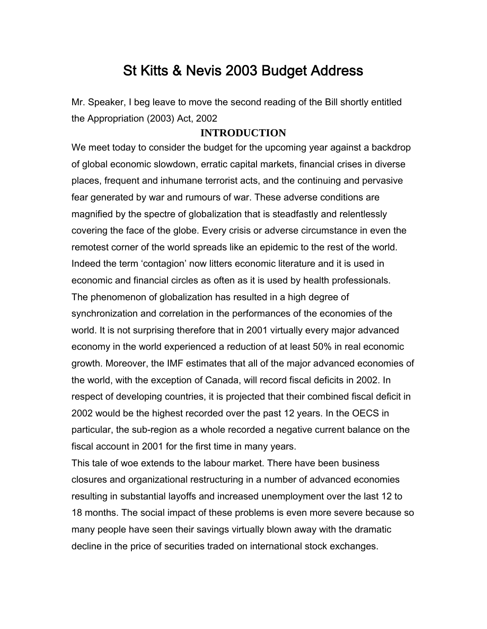# St Kitts & Nevis 2003 Budget Address

Mr. Speaker, I beg leave to move the second reading of the Bill shortly entitled the Appropriation (2003) Act, 2002

# **INTRODUCTION**

We meet today to consider the budget for the upcoming year against a backdrop of global economic slowdown, erratic capital markets, financial crises in diverse places, frequent and inhumane terrorist acts, and the continuing and pervasive fear generated by war and rumours of war. These adverse conditions are magnified by the spectre of globalization that is steadfastly and relentlessly covering the face of the globe. Every crisis or adverse circumstance in even the remotest corner of the world spreads like an epidemic to the rest of the world. Indeed the term 'contagion' now litters economic literature and it is used in economic and financial circles as often as it is used by health professionals. The phenomenon of globalization has resulted in a high degree of synchronization and correlation in the performances of the economies of the world. It is not surprising therefore that in 2001 virtually every major advanced economy in the world experienced a reduction of at least 50% in real economic growth. Moreover, the IMF estimates that all of the major advanced economies of the world, with the exception of Canada, will record fiscal deficits in 2002. In respect of developing countries, it is projected that their combined fiscal deficit in 2002 would be the highest recorded over the past 12 years. In the OECS in particular, the sub-region as a whole recorded a negative current balance on the fiscal account in 2001 for the first time in many years.

This tale of woe extends to the labour market. There have been business closures and organizational restructuring in a number of advanced economies resulting in substantial layoffs and increased unemployment over the last 12 to 18 months. The social impact of these problems is even more severe because so many people have seen their savings virtually blown away with the dramatic decline in the price of securities traded on international stock exchanges.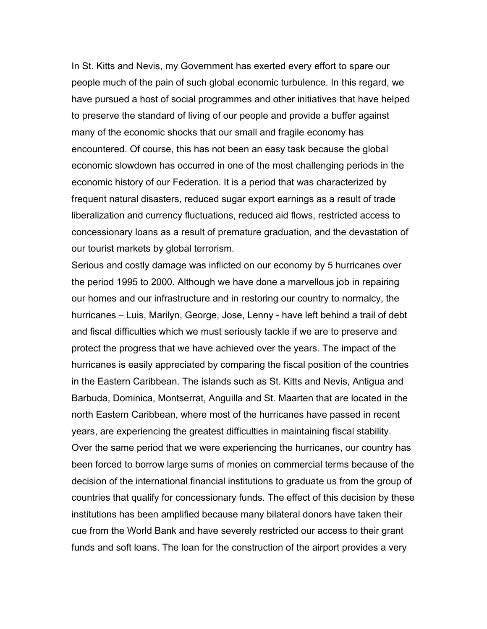In St. Kitts and Nevis, my Government has exerted every effort to spare our people much of the pain of such global economic turbulence. In this regard, we have pursued a host of social programmes and other initiatives that have helped to preserve the standard of living of our people and provide a buffer against many of the economic shocks that our small and fragile economy has encountered. Of course, this has not been an easy task because the global economic slowdown has occurred in one of the most challenging periods in the economic history of our Federation. It is a period that was characterized by frequent natural disasters, reduced sugar export earnings as a result of trade liberalization and currency fluctuations, reduced aid flows, restricted access to concessionary loans as a result of premature graduation, and the devastation of our tourist markets by global terrorism.

Serious and costly damage was inflicted on our economy by 5 hurricanes over the period 1995 to 2000. Although we have done a marvellous job in repairing our homes and our infrastructure and in restoring our country to normalcy, the hurricanes – Luis, Marilyn, George, Jose, Lenny - have left behind a trail of debt and fiscal difficulties which we must seriously tackle if we are to preserve and protect the progress that we have achieved over the years. The impact of the hurricanes is easily appreciated by comparing the fiscal position of the countries in the Eastern Caribbean. The islands such as St. Kitts and Nevis, Antigua and Barbuda, Dominica, Montserrat, Anguilla and St. Maarten that are located in the north Eastern Caribbean, where most of the hurricanes have passed in recent years, are experiencing the greatest difficulties in maintaining fiscal stability. Over the same period that we were experiencing the hurricanes, our country has been forced to borrow large sums of monies on commercial terms because of the decision of the international financial institutions to graduate us from the group of countries that qualify for concessionary funds. The effect of this decision by these institutions has been amplified because many bilateral donors have taken their cue from the World Bank and have severely restricted our access to their grant funds and soft loans. The loan for the construction of the airport provides a very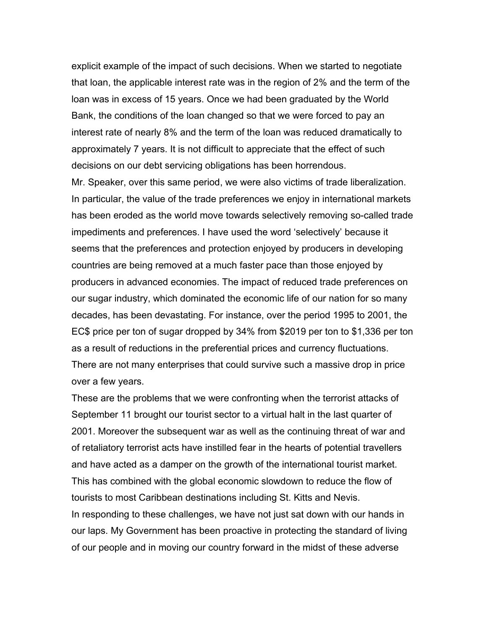explicit example of the impact of such decisions. When we started to negotiate that loan, the applicable interest rate was in the region of 2% and the term of the loan was in excess of 15 years. Once we had been graduated by the World Bank, the conditions of the loan changed so that we were forced to pay an interest rate of nearly 8% and the term of the loan was reduced dramatically to approximately 7 years. It is not difficult to appreciate that the effect of such decisions on our debt servicing obligations has been horrendous.

Mr. Speaker, over this same period, we were also victims of trade liberalization. In particular, the value of the trade preferences we enjoy in international markets has been eroded as the world move towards selectively removing so-called trade impediments and preferences. I have used the word 'selectively' because it seems that the preferences and protection enjoyed by producers in developing countries are being removed at a much faster pace than those enjoyed by producers in advanced economies. The impact of reduced trade preferences on our sugar industry, which dominated the economic life of our nation for so many decades, has been devastating. For instance, over the period 1995 to 2001, the EC\$ price per ton of sugar dropped by 34% from \$2019 per ton to \$1,336 per ton as a result of reductions in the preferential prices and currency fluctuations. There are not many enterprises that could survive such a massive drop in price over a few years.

These are the problems that we were confronting when the terrorist attacks of September 11 brought our tourist sector to a virtual halt in the last quarter of 2001. Moreover the subsequent war as well as the continuing threat of war and of retaliatory terrorist acts have instilled fear in the hearts of potential travellers and have acted as a damper on the growth of the international tourist market. This has combined with the global economic slowdown to reduce the flow of tourists to most Caribbean destinations including St. Kitts and Nevis. In responding to these challenges, we have not just sat down with our hands in our laps. My Government has been proactive in protecting the standard of living of our people and in moving our country forward in the midst of these adverse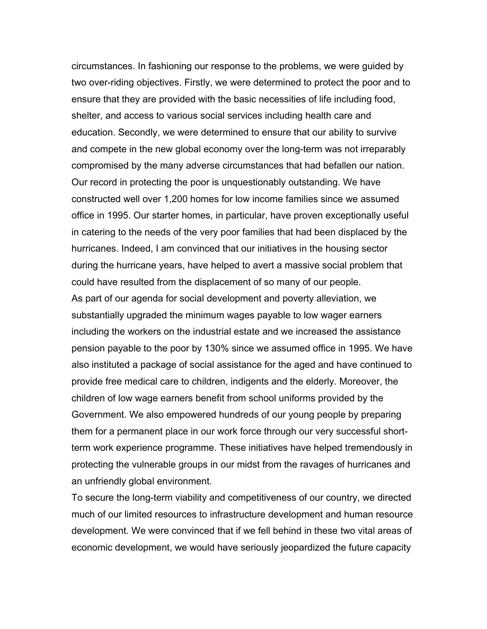circumstances. In fashioning our response to the problems, we were guided by two over-riding objectives. Firstly, we were determined to protect the poor and to ensure that they are provided with the basic necessities of life including food, shelter, and access to various social services including health care and education. Secondly, we were determined to ensure that our ability to survive and compete in the new global economy over the long-term was not irreparably compromised by the many adverse circumstances that had befallen our nation. Our record in protecting the poor is unquestionably outstanding. We have constructed well over 1,200 homes for low income families since we assumed office in 1995. Our starter homes, in particular, have proven exceptionally useful in catering to the needs of the very poor families that had been displaced by the hurricanes. Indeed, I am convinced that our initiatives in the housing sector during the hurricane years, have helped to avert a massive social problem that could have resulted from the displacement of so many of our people.

As part of our agenda for social development and poverty alleviation, we substantially upgraded the minimum wages payable to low wager earners including the workers on the industrial estate and we increased the assistance pension payable to the poor by 130% since we assumed office in 1995. We have also instituted a package of social assistance for the aged and have continued to provide free medical care to children, indigents and the elderly. Moreover, the children of low wage earners benefit from school uniforms provided by the Government. We also empowered hundreds of our young people by preparing them for a permanent place in our work force through our very successful shortterm work experience programme. These initiatives have helped tremendously in protecting the vulnerable groups in our midst from the ravages of hurricanes and an unfriendly global environment.

To secure the long-term viability and competitiveness of our country, we directed much of our limited resources to infrastructure development and human resource development. We were convinced that if we fell behind in these two vital areas of economic development, we would have seriously jeopardized the future capacity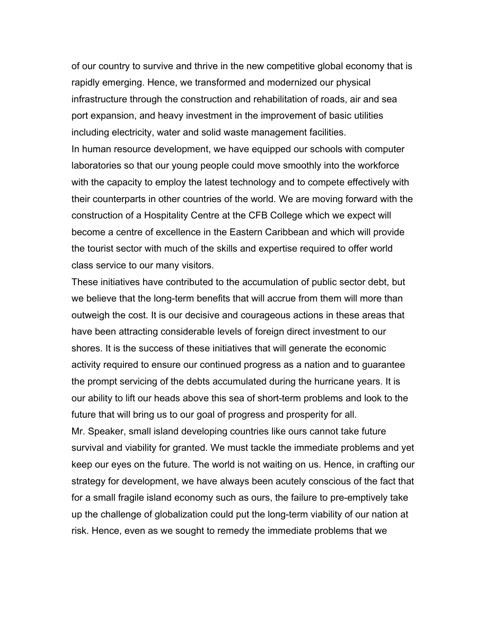of our country to survive and thrive in the new competitive global economy that is rapidly emerging. Hence, we transformed and modernized our physical infrastructure through the construction and rehabilitation of roads, air and sea port expansion, and heavy investment in the improvement of basic utilities including electricity, water and solid waste management facilities. In human resource development, we have equipped our schools with computer laboratories so that our young people could move smoothly into the workforce with the capacity to employ the latest technology and to compete effectively with their counterparts in other countries of the world. We are moving forward with the construction of a Hospitality Centre at the CFB College which we expect will become a centre of excellence in the Eastern Caribbean and which will provide the tourist sector with much of the skills and expertise required to offer world class service to our many visitors.

These initiatives have contributed to the accumulation of public sector debt, but we believe that the long-term benefits that will accrue from them will more than outweigh the cost. It is our decisive and courageous actions in these areas that have been attracting considerable levels of foreign direct investment to our shores. It is the success of these initiatives that will generate the economic activity required to ensure our continued progress as a nation and to guarantee the prompt servicing of the debts accumulated during the hurricane years. It is our ability to lift our heads above this sea of short-term problems and look to the future that will bring us to our goal of progress and prosperity for all. Mr. Speaker, small island developing countries like ours cannot take future survival and viability for granted. We must tackle the immediate problems and yet keep our eyes on the future. The world is not waiting on us. Hence, in crafting our strategy for development, we have always been acutely conscious of the fact that for a small fragile island economy such as ours, the failure to pre-emptively take up the challenge of globalization could put the long-term viability of our nation at risk. Hence, even as we sought to remedy the immediate problems that we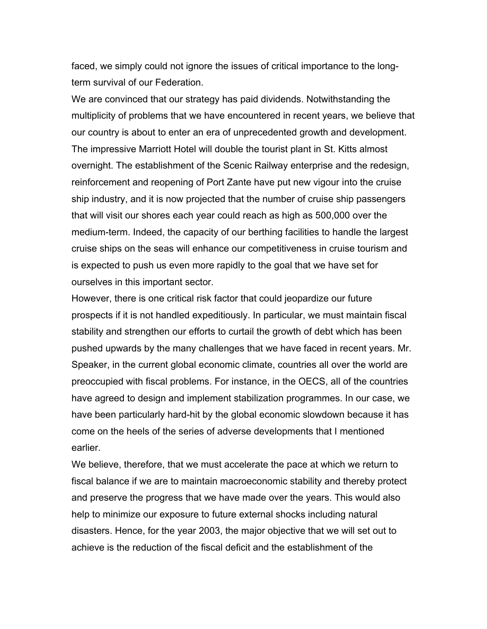faced, we simply could not ignore the issues of critical importance to the longterm survival of our Federation.

We are convinced that our strategy has paid dividends. Notwithstanding the multiplicity of problems that we have encountered in recent years, we believe that our country is about to enter an era of unprecedented growth and development. The impressive Marriott Hotel will double the tourist plant in St. Kitts almost overnight. The establishment of the Scenic Railway enterprise and the redesign, reinforcement and reopening of Port Zante have put new vigour into the cruise ship industry, and it is now projected that the number of cruise ship passengers that will visit our shores each year could reach as high as 500,000 over the medium-term. Indeed, the capacity of our berthing facilities to handle the largest cruise ships on the seas will enhance our competitiveness in cruise tourism and is expected to push us even more rapidly to the goal that we have set for ourselves in this important sector.

However, there is one critical risk factor that could jeopardize our future prospects if it is not handled expeditiously. In particular, we must maintain fiscal stability and strengthen our efforts to curtail the growth of debt which has been pushed upwards by the many challenges that we have faced in recent years. Mr. Speaker, in the current global economic climate, countries all over the world are preoccupied with fiscal problems. For instance, in the OECS, all of the countries have agreed to design and implement stabilization programmes. In our case, we have been particularly hard-hit by the global economic slowdown because it has come on the heels of the series of adverse developments that I mentioned earlier.

We believe, therefore, that we must accelerate the pace at which we return to fiscal balance if we are to maintain macroeconomic stability and thereby protect and preserve the progress that we have made over the years. This would also help to minimize our exposure to future external shocks including natural disasters. Hence, for the year 2003, the major objective that we will set out to achieve is the reduction of the fiscal deficit and the establishment of the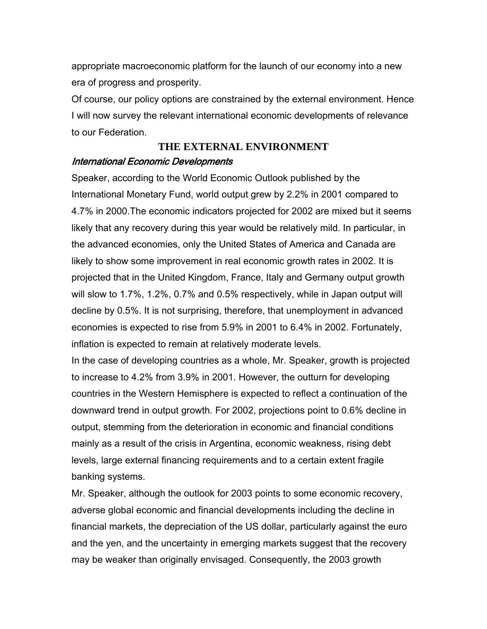appropriate macroeconomic platform for the launch of our economy into a new era of progress and prosperity.

Of course, our policy options are constrained by the external environment. Hence I will now survey the relevant international economic developments of relevance to our Federation.

# **THE EXTERNAL ENVIRONMENT** International Economic Developments

Speaker, according to the World Economic Outlook published by the International Monetary Fund, world output grew by 2.2% in 2001 compared to 4.7% in 2000.The economic indicators projected for 2002 are mixed but it seems likely that any recovery during this year would be relatively mild. In particular, in the advanced economies, only the United States of America and Canada are likely to show some improvement in real economic growth rates in 2002. It is projected that in the United Kingdom, France, Italy and Germany output growth will slow to 1.7%, 1.2%, 0.7% and 0.5% respectively, while in Japan output will decline by 0.5%. It is not surprising, therefore, that unemployment in advanced economies is expected to rise from 5.9% in 2001 to 6.4% in 2002. Fortunately, inflation is expected to remain at relatively moderate levels.

In the case of developing countries as a whole, Mr. Speaker, growth is projected to increase to 4.2% from 3.9% in 2001. However, the outturn for developing countries in the Western Hemisphere is expected to reflect a continuation of the downward trend in output growth. For 2002, projections point to 0.6% decline in output, stemming from the deterioration in economic and financial conditions mainly as a result of the crisis in Argentina, economic weakness, rising debt levels, large external financing requirements and to a certain extent fragile banking systems.

Mr. Speaker, although the outlook for 2003 points to some economic recovery, adverse global economic and financial developments including the decline in financial markets, the depreciation of the US dollar, particularly against the euro and the yen, and the uncertainty in emerging markets suggest that the recovery may be weaker than originally envisaged. Consequently, the 2003 growth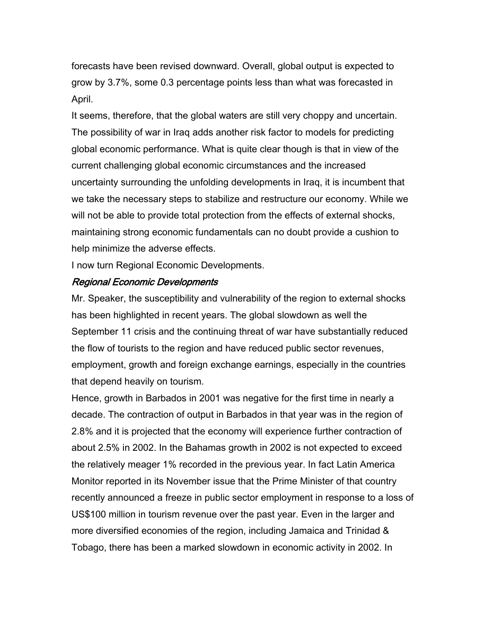forecasts have been revised downward. Overall, global output is expected to grow by 3.7%, some 0.3 percentage points less than what was forecasted in April.

It seems, therefore, that the global waters are still very choppy and uncertain. The possibility of war in Iraq adds another risk factor to models for predicting global economic performance. What is quite clear though is that in view of the current challenging global economic circumstances and the increased uncertainty surrounding the unfolding developments in Iraq, it is incumbent that we take the necessary steps to stabilize and restructure our economy. While we will not be able to provide total protection from the effects of external shocks, maintaining strong economic fundamentals can no doubt provide a cushion to help minimize the adverse effects.

I now turn Regional Economic Developments.

# Regional Economic Developments

Mr. Speaker, the susceptibility and vulnerability of the region to external shocks has been highlighted in recent years. The global slowdown as well the September 11 crisis and the continuing threat of war have substantially reduced the flow of tourists to the region and have reduced public sector revenues, employment, growth and foreign exchange earnings, especially in the countries that depend heavily on tourism.

Hence, growth in Barbados in 2001 was negative for the first time in nearly a decade. The contraction of output in Barbados in that year was in the region of 2.8% and it is projected that the economy will experience further contraction of about 2.5% in 2002. In the Bahamas growth in 2002 is not expected to exceed the relatively meager 1% recorded in the previous year. In fact Latin America Monitor reported in its November issue that the Prime Minister of that country recently announced a freeze in public sector employment in response to a loss of US\$100 million in tourism revenue over the past year. Even in the larger and more diversified economies of the region, including Jamaica and Trinidad & Tobago, there has been a marked slowdown in economic activity in 2002. In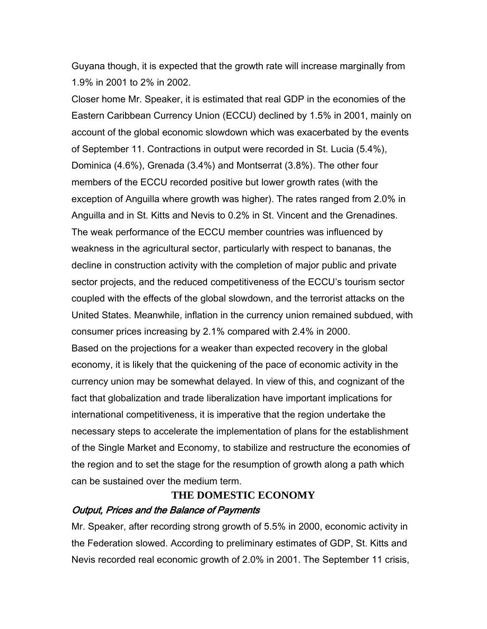Guyana though, it is expected that the growth rate will increase marginally from 1.9% in 2001 to 2% in 2002.

Closer home Mr. Speaker, it is estimated that real GDP in the economies of the Eastern Caribbean Currency Union (ECCU) declined by 1.5% in 2001, mainly on account of the global economic slowdown which was exacerbated by the events of September 11. Contractions in output were recorded in St. Lucia (5.4%), Dominica (4.6%), Grenada (3.4%) and Montserrat (3.8%). The other four members of the ECCU recorded positive but lower growth rates (with the exception of Anguilla where growth was higher). The rates ranged from 2.0% in Anguilla and in St. Kitts and Nevis to 0.2% in St. Vincent and the Grenadines. The weak performance of the ECCU member countries was influenced by weakness in the agricultural sector, particularly with respect to bananas, the decline in construction activity with the completion of major public and private sector projects, and the reduced competitiveness of the ECCU's tourism sector coupled with the effects of the global slowdown, and the terrorist attacks on the United States. Meanwhile, inflation in the currency union remained subdued, with consumer prices increasing by 2.1% compared with 2.4% in 2000. Based on the projections for a weaker than expected recovery in the global

economy, it is likely that the quickening of the pace of economic activity in the currency union may be somewhat delayed. In view of this, and cognizant of the fact that globalization and trade liberalization have important implications for international competitiveness, it is imperative that the region undertake the necessary steps to accelerate the implementation of plans for the establishment of the Single Market and Economy, to stabilize and restructure the economies of the region and to set the stage for the resumption of growth along a path which can be sustained over the medium term.

# **THE DOMESTIC ECONOMY**

# Output, Prices and the Balance of Payments

Mr. Speaker, after recording strong growth of 5.5% in 2000, economic activity in the Federation slowed. According to preliminary estimates of GDP, St. Kitts and Nevis recorded real economic growth of 2.0% in 2001. The September 11 crisis,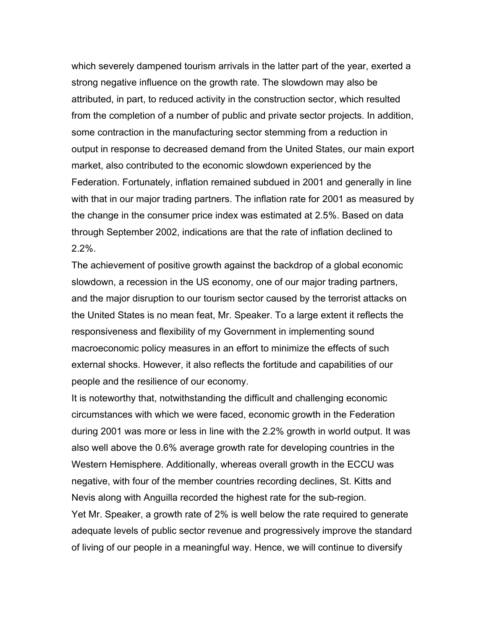which severely dampened tourism arrivals in the latter part of the year, exerted a strong negative influence on the growth rate. The slowdown may also be attributed, in part, to reduced activity in the construction sector, which resulted from the completion of a number of public and private sector projects. In addition, some contraction in the manufacturing sector stemming from a reduction in output in response to decreased demand from the United States, our main export market, also contributed to the economic slowdown experienced by the Federation. Fortunately, inflation remained subdued in 2001 and generally in line with that in our major trading partners. The inflation rate for 2001 as measured by the change in the consumer price index was estimated at 2.5%. Based on data through September 2002, indications are that the rate of inflation declined to 2.2%.

The achievement of positive growth against the backdrop of a global economic slowdown, a recession in the US economy, one of our major trading partners, and the major disruption to our tourism sector caused by the terrorist attacks on the United States is no mean feat, Mr. Speaker. To a large extent it reflects the responsiveness and flexibility of my Government in implementing sound macroeconomic policy measures in an effort to minimize the effects of such external shocks. However, it also reflects the fortitude and capabilities of our people and the resilience of our economy.

It is noteworthy that, notwithstanding the difficult and challenging economic circumstances with which we were faced, economic growth in the Federation during 2001 was more or less in line with the 2.2% growth in world output. It was also well above the 0.6% average growth rate for developing countries in the Western Hemisphere. Additionally, whereas overall growth in the ECCU was negative, with four of the member countries recording declines, St. Kitts and Nevis along with Anguilla recorded the highest rate for the sub-region. Yet Mr. Speaker, a growth rate of 2% is well below the rate required to generate adequate levels of public sector revenue and progressively improve the standard of living of our people in a meaningful way. Hence, we will continue to diversify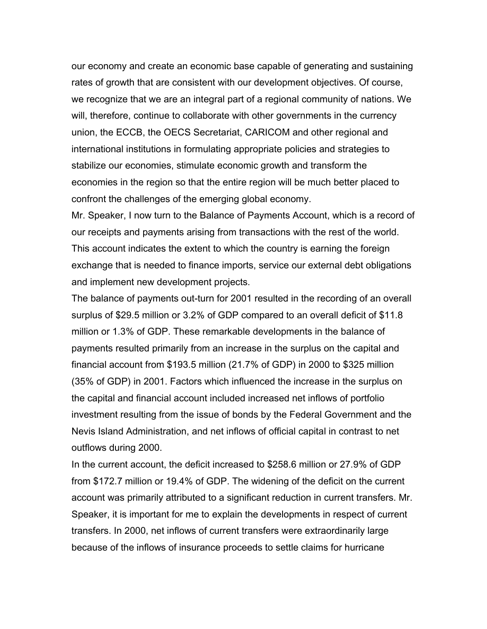our economy and create an economic base capable of generating and sustaining rates of growth that are consistent with our development objectives. Of course, we recognize that we are an integral part of a regional community of nations. We will, therefore, continue to collaborate with other governments in the currency union, the ECCB, the OECS Secretariat, CARICOM and other regional and international institutions in formulating appropriate policies and strategies to stabilize our economies, stimulate economic growth and transform the economies in the region so that the entire region will be much better placed to confront the challenges of the emerging global economy.

Mr. Speaker, I now turn to the Balance of Payments Account, which is a record of our receipts and payments arising from transactions with the rest of the world. This account indicates the extent to which the country is earning the foreign exchange that is needed to finance imports, service our external debt obligations and implement new development projects.

The balance of payments out-turn for 2001 resulted in the recording of an overall surplus of \$29.5 million or 3.2% of GDP compared to an overall deficit of \$11.8 million or 1.3% of GDP. These remarkable developments in the balance of payments resulted primarily from an increase in the surplus on the capital and financial account from \$193.5 million (21.7% of GDP) in 2000 to \$325 million (35% of GDP) in 2001. Factors which influenced the increase in the surplus on the capital and financial account included increased net inflows of portfolio investment resulting from the issue of bonds by the Federal Government and the Nevis Island Administration, and net inflows of official capital in contrast to net outflows during 2000.

In the current account, the deficit increased to \$258.6 million or 27.9% of GDP from \$172.7 million or 19.4% of GDP. The widening of the deficit on the current account was primarily attributed to a significant reduction in current transfers. Mr. Speaker, it is important for me to explain the developments in respect of current transfers. In 2000, net inflows of current transfers were extraordinarily large because of the inflows of insurance proceeds to settle claims for hurricane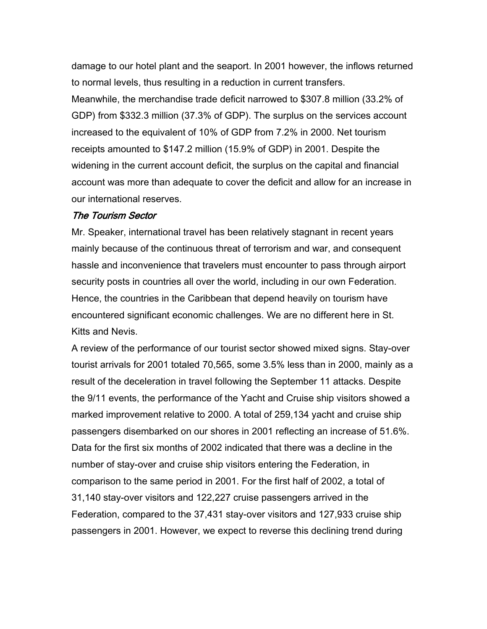damage to our hotel plant and the seaport. In 2001 however, the inflows returned to normal levels, thus resulting in a reduction in current transfers. Meanwhile, the merchandise trade deficit narrowed to \$307.8 million (33.2% of GDP) from \$332.3 million (37.3% of GDP). The surplus on the services account increased to the equivalent of 10% of GDP from 7.2% in 2000. Net tourism receipts amounted to \$147.2 million (15.9% of GDP) in 2001. Despite the widening in the current account deficit, the surplus on the capital and financial account was more than adequate to cover the deficit and allow for an increase in our international reserves.

## The Tourism Sector

Mr. Speaker, international travel has been relatively stagnant in recent years mainly because of the continuous threat of terrorism and war, and consequent hassle and inconvenience that travelers must encounter to pass through airport security posts in countries all over the world, including in our own Federation. Hence, the countries in the Caribbean that depend heavily on tourism have encountered significant economic challenges. We are no different here in St. Kitts and Nevis.

A review of the performance of our tourist sector showed mixed signs. Stay-over tourist arrivals for 2001 totaled 70,565, some 3.5% less than in 2000, mainly as a result of the deceleration in travel following the September 11 attacks. Despite the 9/11 events, the performance of the Yacht and Cruise ship visitors showed a marked improvement relative to 2000. A total of 259,134 yacht and cruise ship passengers disembarked on our shores in 2001 reflecting an increase of 51.6%. Data for the first six months of 2002 indicated that there was a decline in the number of stay-over and cruise ship visitors entering the Federation, in comparison to the same period in 2001. For the first half of 2002, a total of 31,140 stay-over visitors and 122,227 cruise passengers arrived in the Federation, compared to the 37,431 stay-over visitors and 127,933 cruise ship passengers in 2001. However, we expect to reverse this declining trend during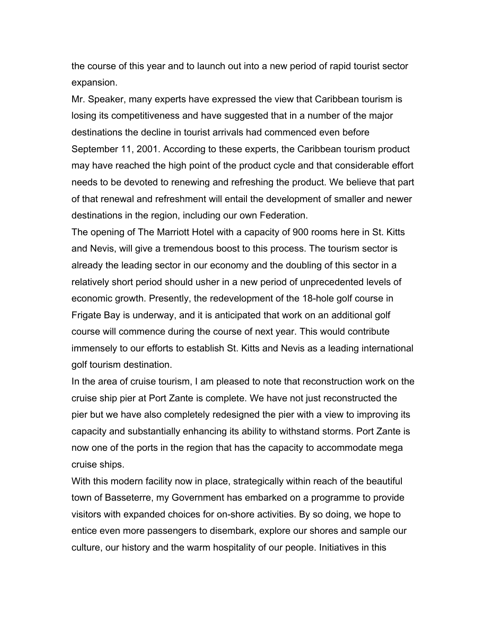the course of this year and to launch out into a new period of rapid tourist sector expansion.

Mr. Speaker, many experts have expressed the view that Caribbean tourism is losing its competitiveness and have suggested that in a number of the major destinations the decline in tourist arrivals had commenced even before September 11, 2001. According to these experts, the Caribbean tourism product may have reached the high point of the product cycle and that considerable effort needs to be devoted to renewing and refreshing the product. We believe that part of that renewal and refreshment will entail the development of smaller and newer destinations in the region, including our own Federation.

The opening of The Marriott Hotel with a capacity of 900 rooms here in St. Kitts and Nevis, will give a tremendous boost to this process. The tourism sector is already the leading sector in our economy and the doubling of this sector in a relatively short period should usher in a new period of unprecedented levels of economic growth. Presently, the redevelopment of the 18-hole golf course in Frigate Bay is underway, and it is anticipated that work on an additional golf course will commence during the course of next year. This would contribute immensely to our efforts to establish St. Kitts and Nevis as a leading international golf tourism destination.

In the area of cruise tourism, I am pleased to note that reconstruction work on the cruise ship pier at Port Zante is complete. We have not just reconstructed the pier but we have also completely redesigned the pier with a view to improving its capacity and substantially enhancing its ability to withstand storms. Port Zante is now one of the ports in the region that has the capacity to accommodate mega cruise ships.

With this modern facility now in place, strategically within reach of the beautiful town of Basseterre, my Government has embarked on a programme to provide visitors with expanded choices for on-shore activities. By so doing, we hope to entice even more passengers to disembark, explore our shores and sample our culture, our history and the warm hospitality of our people. Initiatives in this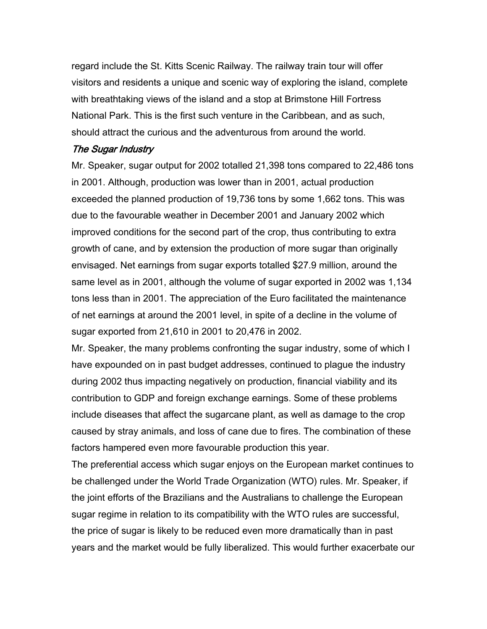regard include the St. Kitts Scenic Railway. The railway train tour will offer visitors and residents a unique and scenic way of exploring the island, complete with breathtaking views of the island and a stop at Brimstone Hill Fortress National Park. This is the first such venture in the Caribbean, and as such, should attract the curious and the adventurous from around the world.

## The Sugar Industry

Mr. Speaker, sugar output for 2002 totalled 21,398 tons compared to 22,486 tons in 2001. Although, production was lower than in 2001, actual production exceeded the planned production of 19,736 tons by some 1,662 tons. This was due to the favourable weather in December 2001 and January 2002 which improved conditions for the second part of the crop, thus contributing to extra growth of cane, and by extension the production of more sugar than originally envisaged. Net earnings from sugar exports totalled \$27.9 million, around the same level as in 2001, although the volume of sugar exported in 2002 was 1,134 tons less than in 2001. The appreciation of the Euro facilitated the maintenance of net earnings at around the 2001 level, in spite of a decline in the volume of sugar exported from 21,610 in 2001 to 20,476 in 2002.

Mr. Speaker, the many problems confronting the sugar industry, some of which I have expounded on in past budget addresses, continued to plague the industry during 2002 thus impacting negatively on production, financial viability and its contribution to GDP and foreign exchange earnings. Some of these problems include diseases that affect the sugarcane plant, as well as damage to the crop caused by stray animals, and loss of cane due to fires. The combination of these factors hampered even more favourable production this year.

The preferential access which sugar enjoys on the European market continues to be challenged under the World Trade Organization (WTO) rules. Mr. Speaker, if the joint efforts of the Brazilians and the Australians to challenge the European sugar regime in relation to its compatibility with the WTO rules are successful, the price of sugar is likely to be reduced even more dramatically than in past years and the market would be fully liberalized. This would further exacerbate our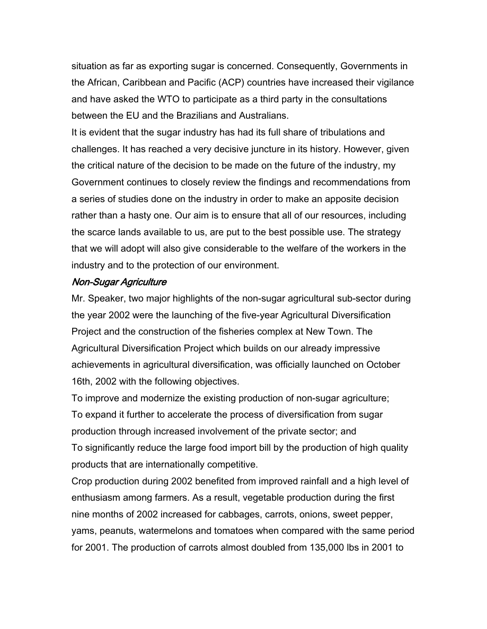situation as far as exporting sugar is concerned. Consequently, Governments in the African, Caribbean and Pacific (ACP) countries have increased their vigilance and have asked the WTO to participate as a third party in the consultations between the EU and the Brazilians and Australians.

It is evident that the sugar industry has had its full share of tribulations and challenges. It has reached a very decisive juncture in its history. However, given the critical nature of the decision to be made on the future of the industry, my Government continues to closely review the findings and recommendations from a series of studies done on the industry in order to make an apposite decision rather than a hasty one. Our aim is to ensure that all of our resources, including the scarce lands available to us, are put to the best possible use. The strategy that we will adopt will also give considerable to the welfare of the workers in the industry and to the protection of our environment.

# Non-Sugar Agriculture

Mr. Speaker, two major highlights of the non-sugar agricultural sub-sector during the year 2002 were the launching of the five-year Agricultural Diversification Project and the construction of the fisheries complex at New Town. The Agricultural Diversification Project which builds on our already impressive achievements in agricultural diversification, was officially launched on October 16th, 2002 with the following objectives.

To improve and modernize the existing production of non-sugar agriculture; To expand it further to accelerate the process of diversification from sugar production through increased involvement of the private sector; and To significantly reduce the large food import bill by the production of high quality products that are internationally competitive.

Crop production during 2002 benefited from improved rainfall and a high level of enthusiasm among farmers. As a result, vegetable production during the first nine months of 2002 increased for cabbages, carrots, onions, sweet pepper, yams, peanuts, watermelons and tomatoes when compared with the same period for 2001. The production of carrots almost doubled from 135,000 lbs in 2001 to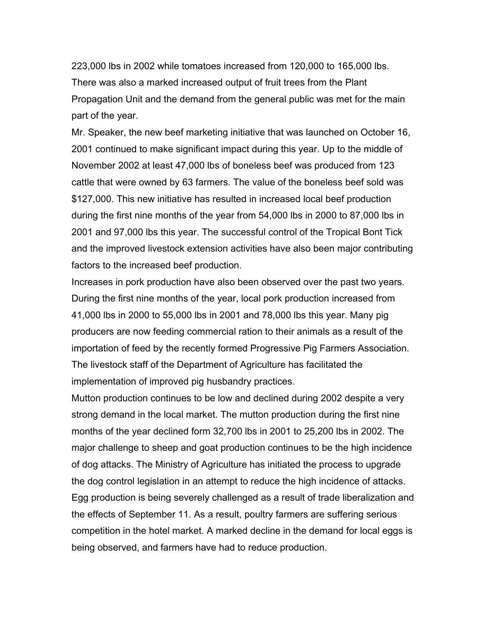223,000 lbs in 2002 while tomatoes increased from 120,000 to 165,000 lbs. There was also a marked increased output of fruit trees from the Plant Propagation Unit and the demand from the general public was met for the main part of the year.

Mr. Speaker, the new beef marketing initiative that was launched on October 16, 2001 continued to make significant impact during this year. Up to the middle of November 2002 at least 47,000 lbs of boneless beef was produced from 123 cattle that were owned by 63 farmers. The value of the boneless beef sold was \$127,000. This new initiative has resulted in increased local beef production during the first nine months of the year from 54,000 lbs in 2000 to 87,000 lbs in 2001 and 97,000 lbs this year. The successful control of the Tropical Bont Tick and the improved livestock extension activities have also been major contributing factors to the increased beef production.

Increases in pork production have also been observed over the past two years. During the first nine months of the year, local pork production increased from 41,000 lbs in 2000 to 55,000 lbs in 2001 and 78,000 lbs this year. Many pig producers are now feeding commercial ration to their animals as a result of the importation of feed by the recently formed Progressive Pig Farmers Association. The livestock staff of the Department of Agriculture has facilitated the implementation of improved pig husbandry practices.

Mutton production continues to be low and declined during 2002 despite a very strong demand in the local market. The mutton production during the first nine months of the year declined form 32,700 lbs in 2001 to 25,200 lbs in 2002. The major challenge to sheep and goat production continues to be the high incidence of dog attacks. The Ministry of Agriculture has initiated the process to upgrade the dog control legislation in an attempt to reduce the high incidence of attacks. Egg production is being severely challenged as a result of trade liberalization and the effects of September 11. As a result, poultry farmers are suffering serious competition in the hotel market. A marked decline in the demand for local eggs is being observed, and farmers have had to reduce production.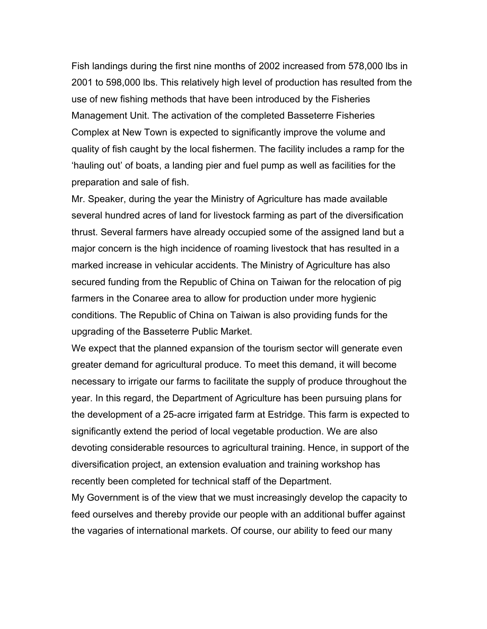Fish landings during the first nine months of 2002 increased from 578,000 lbs in 2001 to 598,000 lbs. This relatively high level of production has resulted from the use of new fishing methods that have been introduced by the Fisheries Management Unit. The activation of the completed Basseterre Fisheries Complex at New Town is expected to significantly improve the volume and quality of fish caught by the local fishermen. The facility includes a ramp for the 'hauling out' of boats, a landing pier and fuel pump as well as facilities for the preparation and sale of fish.

Mr. Speaker, during the year the Ministry of Agriculture has made available several hundred acres of land for livestock farming as part of the diversification thrust. Several farmers have already occupied some of the assigned land but a major concern is the high incidence of roaming livestock that has resulted in a marked increase in vehicular accidents. The Ministry of Agriculture has also secured funding from the Republic of China on Taiwan for the relocation of pig farmers in the Conaree area to allow for production under more hygienic conditions. The Republic of China on Taiwan is also providing funds for the upgrading of the Basseterre Public Market.

We expect that the planned expansion of the tourism sector will generate even greater demand for agricultural produce. To meet this demand, it will become necessary to irrigate our farms to facilitate the supply of produce throughout the year. In this regard, the Department of Agriculture has been pursuing plans for the development of a 25-acre irrigated farm at Estridge. This farm is expected to significantly extend the period of local vegetable production. We are also devoting considerable resources to agricultural training. Hence, in support of the diversification project, an extension evaluation and training workshop has recently been completed for technical staff of the Department.

My Government is of the view that we must increasingly develop the capacity to feed ourselves and thereby provide our people with an additional buffer against the vagaries of international markets. Of course, our ability to feed our many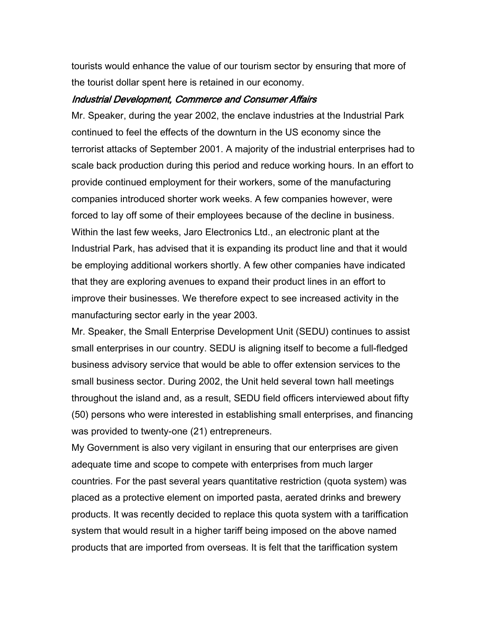tourists would enhance the value of our tourism sector by ensuring that more of the tourist dollar spent here is retained in our economy.

#### Industrial Development, Commerce and Consumer Affairs

Mr. Speaker, during the year 2002, the enclave industries at the Industrial Park continued to feel the effects of the downturn in the US economy since the terrorist attacks of September 2001. A majority of the industrial enterprises had to scale back production during this period and reduce working hours. In an effort to provide continued employment for their workers, some of the manufacturing companies introduced shorter work weeks. A few companies however, were forced to lay off some of their employees because of the decline in business. Within the last few weeks, Jaro Electronics Ltd., an electronic plant at the Industrial Park, has advised that it is expanding its product line and that it would be employing additional workers shortly. A few other companies have indicated that they are exploring avenues to expand their product lines in an effort to improve their businesses. We therefore expect to see increased activity in the manufacturing sector early in the year 2003.

Mr. Speaker, the Small Enterprise Development Unit (SEDU) continues to assist small enterprises in our country. SEDU is aligning itself to become a full-fledged business advisory service that would be able to offer extension services to the small business sector. During 2002, the Unit held several town hall meetings throughout the island and, as a result, SEDU field officers interviewed about fifty (50) persons who were interested in establishing small enterprises, and financing was provided to twenty-one (21) entrepreneurs.

My Government is also very vigilant in ensuring that our enterprises are given adequate time and scope to compete with enterprises from much larger countries. For the past several years quantitative restriction (quota system) was placed as a protective element on imported pasta, aerated drinks and brewery products. It was recently decided to replace this quota system with a tariffication system that would result in a higher tariff being imposed on the above named products that are imported from overseas. It is felt that the tariffication system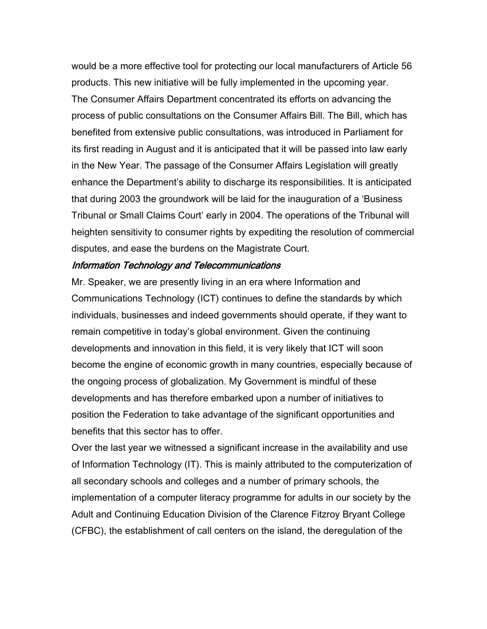would be a more effective tool for protecting our local manufacturers of Article 56 products. This new initiative will be fully implemented in the upcoming year. The Consumer Affairs Department concentrated its efforts on advancing the process of public consultations on the Consumer Affairs Bill. The Bill, which has benefited from extensive public consultations, was introduced in Parliament for its first reading in August and it is anticipated that it will be passed into law early in the New Year. The passage of the Consumer Affairs Legislation will greatly enhance the Department's ability to discharge its responsibilities. It is anticipated that during 2003 the groundwork will be laid for the inauguration of a 'Business Tribunal or Small Claims Court' early in 2004. The operations of the Tribunal will heighten sensitivity to consumer rights by expediting the resolution of commercial disputes, and ease the burdens on the Magistrate Court.

## Information Technology and Telecommunications

Mr. Speaker, we are presently living in an era where Information and Communications Technology (ICT) continues to define the standards by which individuals, businesses and indeed governments should operate, if they want to remain competitive in today's global environment. Given the continuing developments and innovation in this field, it is very likely that ICT will soon become the engine of economic growth in many countries, especially because of the ongoing process of globalization. My Government is mindful of these developments and has therefore embarked upon a number of initiatives to position the Federation to take advantage of the significant opportunities and benefits that this sector has to offer.

Over the last year we witnessed a significant increase in the availability and use of Information Technology (IT). This is mainly attributed to the computerization of all secondary schools and colleges and a number of primary schools, the implementation of a computer literacy programme for adults in our society by the Adult and Continuing Education Division of the Clarence Fitzroy Bryant College (CFBC), the establishment of call centers on the island, the deregulation of the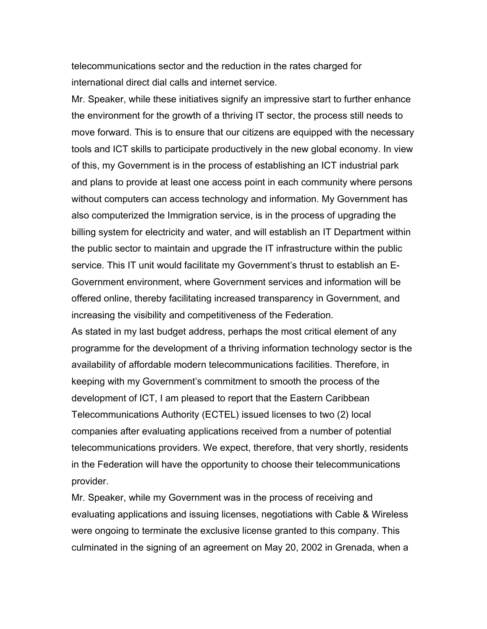telecommunications sector and the reduction in the rates charged for international direct dial calls and internet service.

Mr. Speaker, while these initiatives signify an impressive start to further enhance the environment for the growth of a thriving IT sector, the process still needs to move forward. This is to ensure that our citizens are equipped with the necessary tools and ICT skills to participate productively in the new global economy. In view of this, my Government is in the process of establishing an ICT industrial park and plans to provide at least one access point in each community where persons without computers can access technology and information. My Government has also computerized the Immigration service, is in the process of upgrading the billing system for electricity and water, and will establish an IT Department within the public sector to maintain and upgrade the IT infrastructure within the public service. This IT unit would facilitate my Government's thrust to establish an E-Government environment, where Government services and information will be offered online, thereby facilitating increased transparency in Government, and increasing the visibility and competitiveness of the Federation.

As stated in my last budget address, perhaps the most critical element of any programme for the development of a thriving information technology sector is the availability of affordable modern telecommunications facilities. Therefore, in keeping with my Government's commitment to smooth the process of the development of ICT, I am pleased to report that the Eastern Caribbean Telecommunications Authority (ECTEL) issued licenses to two (2) local companies after evaluating applications received from a number of potential telecommunications providers. We expect, therefore, that very shortly, residents in the Federation will have the opportunity to choose their telecommunications provider.

Mr. Speaker, while my Government was in the process of receiving and evaluating applications and issuing licenses, negotiations with Cable & Wireless were ongoing to terminate the exclusive license granted to this company. This culminated in the signing of an agreement on May 20, 2002 in Grenada, when a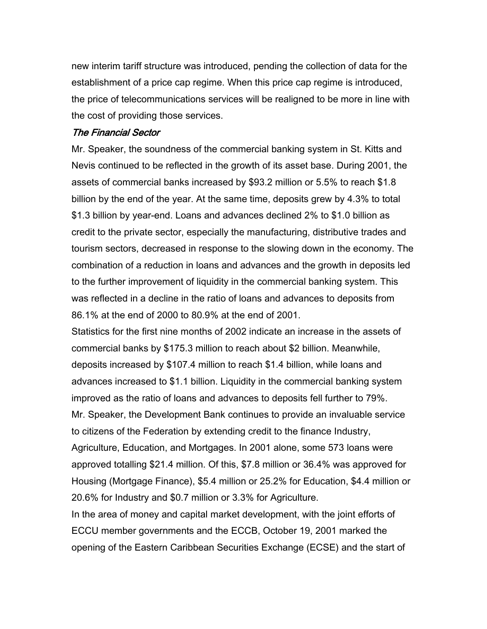new interim tariff structure was introduced, pending the collection of data for the establishment of a price cap regime. When this price cap regime is introduced, the price of telecommunications services will be realigned to be more in line with the cost of providing those services.

### The Financial Sector

Mr. Speaker, the soundness of the commercial banking system in St. Kitts and Nevis continued to be reflected in the growth of its asset base. During 2001, the assets of commercial banks increased by \$93.2 million or 5.5% to reach \$1.8 billion by the end of the year. At the same time, deposits grew by 4.3% to total \$1.3 billion by year-end. Loans and advances declined 2% to \$1.0 billion as credit to the private sector, especially the manufacturing, distributive trades and tourism sectors, decreased in response to the slowing down in the economy. The combination of a reduction in loans and advances and the growth in deposits led to the further improvement of liquidity in the commercial banking system. This was reflected in a decline in the ratio of loans and advances to deposits from 86.1% at the end of 2000 to 80.9% at the end of 2001.

Statistics for the first nine months of 2002 indicate an increase in the assets of commercial banks by \$175.3 million to reach about \$2 billion. Meanwhile, deposits increased by \$107.4 million to reach \$1.4 billion, while loans and advances increased to \$1.1 billion. Liquidity in the commercial banking system improved as the ratio of loans and advances to deposits fell further to 79%. Mr. Speaker, the Development Bank continues to provide an invaluable service to citizens of the Federation by extending credit to the finance Industry, Agriculture, Education, and Mortgages. In 2001 alone, some 573 loans were approved totalling \$21.4 million. Of this, \$7.8 million or 36.4% was approved for Housing (Mortgage Finance), \$5.4 million or 25.2% for Education, \$4.4 million or 20.6% for Industry and \$0.7 million or 3.3% for Agriculture.

In the area of money and capital market development, with the joint efforts of ECCU member governments and the ECCB, October 19, 2001 marked the opening of the Eastern Caribbean Securities Exchange (ECSE) and the start of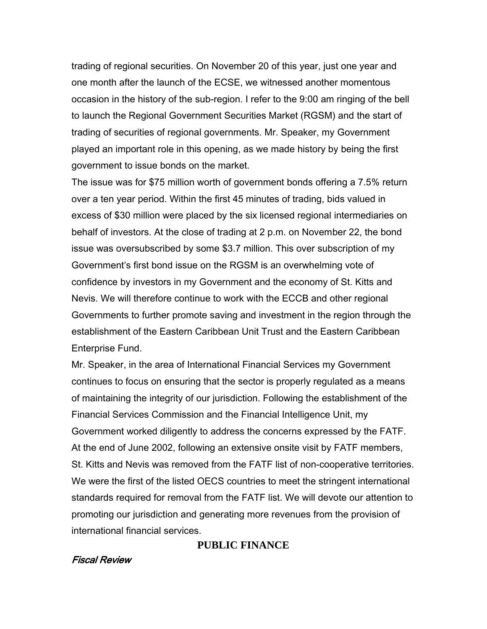trading of regional securities. On November 20 of this year, just one year and one month after the launch of the ECSE, we witnessed another momentous occasion in the history of the sub-region. I refer to the 9:00 am ringing of the bell to launch the Regional Government Securities Market (RGSM) and the start of trading of securities of regional governments. Mr. Speaker, my Government played an important role in this opening, as we made history by being the first government to issue bonds on the market.

The issue was for \$75 million worth of government bonds offering a 7.5% return over a ten year period. Within the first 45 minutes of trading, bids valued in excess of \$30 million were placed by the six licensed regional intermediaries on behalf of investors. At the close of trading at 2 p.m. on November 22, the bond issue was oversubscribed by some \$3.7 million. This over subscription of my Government's first bond issue on the RGSM is an overwhelming vote of confidence by investors in my Government and the economy of St. Kitts and Nevis. We will therefore continue to work with the ECCB and other regional Governments to further promote saving and investment in the region through the establishment of the Eastern Caribbean Unit Trust and the Eastern Caribbean Enterprise Fund.

Mr. Speaker, in the area of International Financial Services my Government continues to focus on ensuring that the sector is properly regulated as a means of maintaining the integrity of our jurisdiction. Following the establishment of the Financial Services Commission and the Financial Intelligence Unit, my Government worked diligently to address the concerns expressed by the FATF. At the end of June 2002, following an extensive onsite visit by FATF members, St. Kitts and Nevis was removed from the FATF list of non-cooperative territories. We were the first of the listed OECS countries to meet the stringent international standards required for removal from the FATF list. We will devote our attention to promoting our jurisdiction and generating more revenues from the provision of international financial services.

# **PUBLIC FINANCE**

# Fiscal Review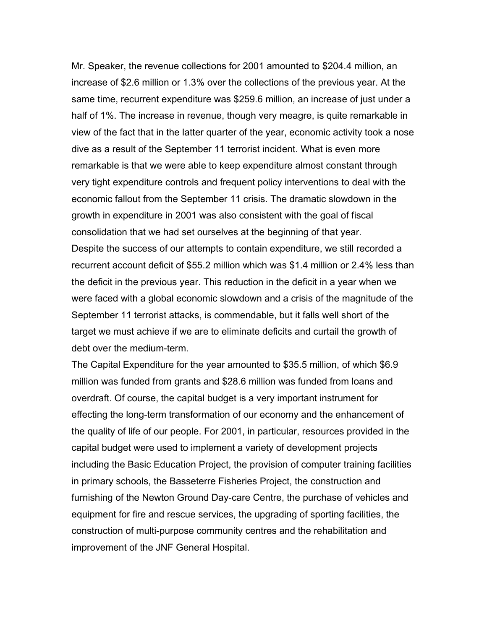Mr. Speaker, the revenue collections for 2001 amounted to \$204.4 million, an increase of \$2.6 million or 1.3% over the collections of the previous year. At the same time, recurrent expenditure was \$259.6 million, an increase of just under a half of 1%. The increase in revenue, though very meagre, is quite remarkable in view of the fact that in the latter quarter of the year, economic activity took a nose dive as a result of the September 11 terrorist incident. What is even more remarkable is that we were able to keep expenditure almost constant through very tight expenditure controls and frequent policy interventions to deal with the economic fallout from the September 11 crisis. The dramatic slowdown in the growth in expenditure in 2001 was also consistent with the goal of fiscal consolidation that we had set ourselves at the beginning of that year. Despite the success of our attempts to contain expenditure, we still recorded a recurrent account deficit of \$55.2 million which was \$1.4 million or 2.4% less than the deficit in the previous year. This reduction in the deficit in a year when we were faced with a global economic slowdown and a crisis of the magnitude of the September 11 terrorist attacks, is commendable, but it falls well short of the target we must achieve if we are to eliminate deficits and curtail the growth of debt over the medium-term.

The Capital Expenditure for the year amounted to \$35.5 million, of which \$6.9 million was funded from grants and \$28.6 million was funded from loans and overdraft. Of course, the capital budget is a very important instrument for effecting the long-term transformation of our economy and the enhancement of the quality of life of our people. For 2001, in particular, resources provided in the capital budget were used to implement a variety of development projects including the Basic Education Project, the provision of computer training facilities in primary schools, the Basseterre Fisheries Project, the construction and furnishing of the Newton Ground Day-care Centre, the purchase of vehicles and equipment for fire and rescue services, the upgrading of sporting facilities, the construction of multi-purpose community centres and the rehabilitation and improvement of the JNF General Hospital.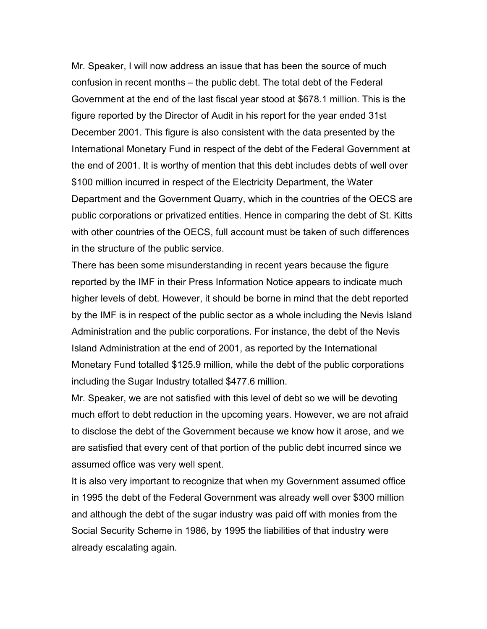Mr. Speaker, I will now address an issue that has been the source of much confusion in recent months – the public debt. The total debt of the Federal Government at the end of the last fiscal year stood at \$678.1 million. This is the figure reported by the Director of Audit in his report for the year ended 31st December 2001. This figure is also consistent with the data presented by the International Monetary Fund in respect of the debt of the Federal Government at the end of 2001. It is worthy of mention that this debt includes debts of well over \$100 million incurred in respect of the Electricity Department, the Water Department and the Government Quarry, which in the countries of the OECS are public corporations or privatized entities. Hence in comparing the debt of St. Kitts with other countries of the OECS, full account must be taken of such differences in the structure of the public service.

There has been some misunderstanding in recent years because the figure reported by the IMF in their Press Information Notice appears to indicate much higher levels of debt. However, it should be borne in mind that the debt reported by the IMF is in respect of the public sector as a whole including the Nevis Island Administration and the public corporations. For instance, the debt of the Nevis Island Administration at the end of 2001, as reported by the International Monetary Fund totalled \$125.9 million, while the debt of the public corporations including the Sugar Industry totalled \$477.6 million.

Mr. Speaker, we are not satisfied with this level of debt so we will be devoting much effort to debt reduction in the upcoming years. However, we are not afraid to disclose the debt of the Government because we know how it arose, and we are satisfied that every cent of that portion of the public debt incurred since we assumed office was very well spent.

It is also very important to recognize that when my Government assumed office in 1995 the debt of the Federal Government was already well over \$300 million and although the debt of the sugar industry was paid off with monies from the Social Security Scheme in 1986, by 1995 the liabilities of that industry were already escalating again.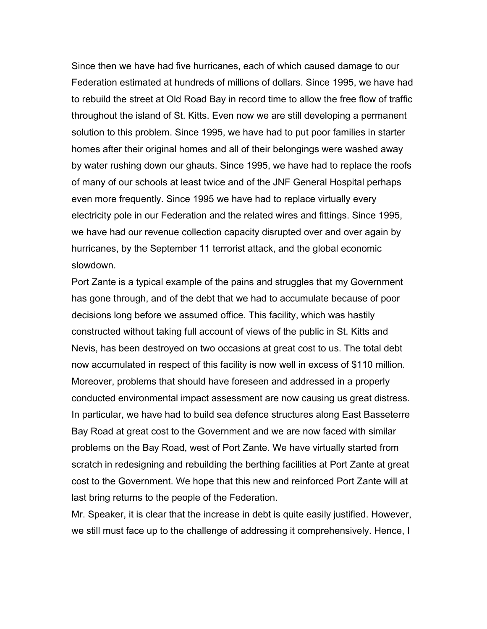Since then we have had five hurricanes, each of which caused damage to our Federation estimated at hundreds of millions of dollars. Since 1995, we have had to rebuild the street at Old Road Bay in record time to allow the free flow of traffic throughout the island of St. Kitts. Even now we are still developing a permanent solution to this problem. Since 1995, we have had to put poor families in starter homes after their original homes and all of their belongings were washed away by water rushing down our ghauts. Since 1995, we have had to replace the roofs of many of our schools at least twice and of the JNF General Hospital perhaps even more frequently. Since 1995 we have had to replace virtually every electricity pole in our Federation and the related wires and fittings. Since 1995, we have had our revenue collection capacity disrupted over and over again by hurricanes, by the September 11 terrorist attack, and the global economic slowdown.

Port Zante is a typical example of the pains and struggles that my Government has gone through, and of the debt that we had to accumulate because of poor decisions long before we assumed office. This facility, which was hastily constructed without taking full account of views of the public in St. Kitts and Nevis, has been destroyed on two occasions at great cost to us. The total debt now accumulated in respect of this facility is now well in excess of \$110 million. Moreover, problems that should have foreseen and addressed in a properly conducted environmental impact assessment are now causing us great distress. In particular, we have had to build sea defence structures along East Basseterre Bay Road at great cost to the Government and we are now faced with similar problems on the Bay Road, west of Port Zante. We have virtually started from scratch in redesigning and rebuilding the berthing facilities at Port Zante at great cost to the Government. We hope that this new and reinforced Port Zante will at last bring returns to the people of the Federation.

Mr. Speaker, it is clear that the increase in debt is quite easily justified. However, we still must face up to the challenge of addressing it comprehensively. Hence, I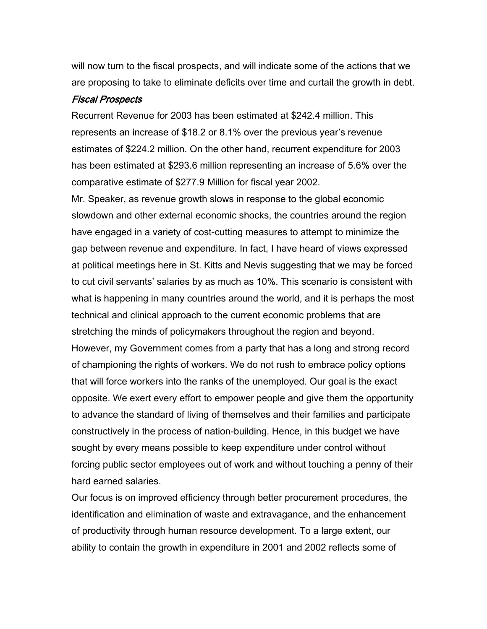will now turn to the fiscal prospects, and will indicate some of the actions that we are proposing to take to eliminate deficits over time and curtail the growth in debt.

#### Fiscal Prospects

Recurrent Revenue for 2003 has been estimated at \$242.4 million. This represents an increase of \$18.2 or 8.1% over the previous year's revenue estimates of \$224.2 million. On the other hand, recurrent expenditure for 2003 has been estimated at \$293.6 million representing an increase of 5.6% over the comparative estimate of \$277.9 Million for fiscal year 2002.

Mr. Speaker, as revenue growth slows in response to the global economic slowdown and other external economic shocks, the countries around the region have engaged in a variety of cost-cutting measures to attempt to minimize the gap between revenue and expenditure. In fact, I have heard of views expressed at political meetings here in St. Kitts and Nevis suggesting that we may be forced to cut civil servants' salaries by as much as 10%. This scenario is consistent with what is happening in many countries around the world, and it is perhaps the most technical and clinical approach to the current economic problems that are stretching the minds of policymakers throughout the region and beyond. However, my Government comes from a party that has a long and strong record of championing the rights of workers. We do not rush to embrace policy options that will force workers into the ranks of the unemployed. Our goal is the exact opposite. We exert every effort to empower people and give them the opportunity to advance the standard of living of themselves and their families and participate constructively in the process of nation-building. Hence, in this budget we have sought by every means possible to keep expenditure under control without forcing public sector employees out of work and without touching a penny of their hard earned salaries.

Our focus is on improved efficiency through better procurement procedures, the identification and elimination of waste and extravagance, and the enhancement of productivity through human resource development. To a large extent, our ability to contain the growth in expenditure in 2001 and 2002 reflects some of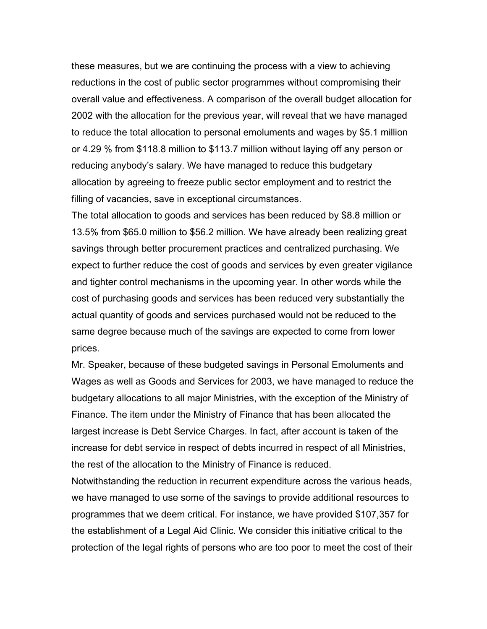these measures, but we are continuing the process with a view to achieving reductions in the cost of public sector programmes without compromising their overall value and effectiveness. A comparison of the overall budget allocation for 2002 with the allocation for the previous year, will reveal that we have managed to reduce the total allocation to personal emoluments and wages by \$5.1 million or 4.29 % from \$118.8 million to \$113.7 million without laying off any person or reducing anybody's salary. We have managed to reduce this budgetary allocation by agreeing to freeze public sector employment and to restrict the filling of vacancies, save in exceptional circumstances.

The total allocation to goods and services has been reduced by \$8.8 million or 13.5% from \$65.0 million to \$56.2 million. We have already been realizing great savings through better procurement practices and centralized purchasing. We expect to further reduce the cost of goods and services by even greater vigilance and tighter control mechanisms in the upcoming year. In other words while the cost of purchasing goods and services has been reduced very substantially the actual quantity of goods and services purchased would not be reduced to the same degree because much of the savings are expected to come from lower prices.

Mr. Speaker, because of these budgeted savings in Personal Emoluments and Wages as well as Goods and Services for 2003, we have managed to reduce the budgetary allocations to all major Ministries, with the exception of the Ministry of Finance. The item under the Ministry of Finance that has been allocated the largest increase is Debt Service Charges. In fact, after account is taken of the increase for debt service in respect of debts incurred in respect of all Ministries, the rest of the allocation to the Ministry of Finance is reduced.

Notwithstanding the reduction in recurrent expenditure across the various heads, we have managed to use some of the savings to provide additional resources to programmes that we deem critical. For instance, we have provided \$107,357 for the establishment of a Legal Aid Clinic. We consider this initiative critical to the protection of the legal rights of persons who are too poor to meet the cost of their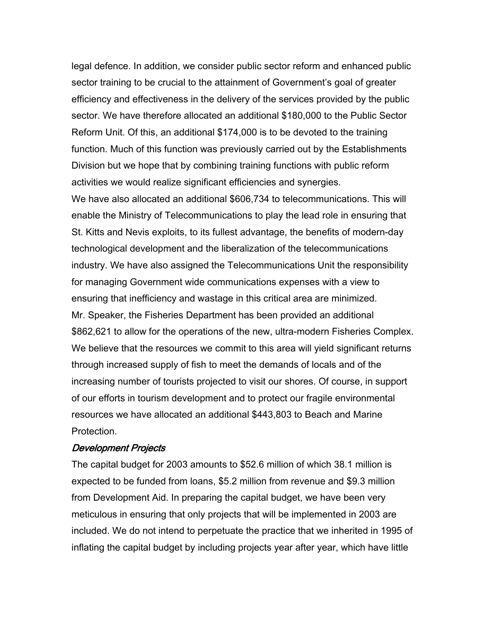legal defence. In addition, we consider public sector reform and enhanced public sector training to be crucial to the attainment of Government's goal of greater efficiency and effectiveness in the delivery of the services provided by the public sector. We have therefore allocated an additional \$180,000 to the Public Sector Reform Unit. Of this, an additional \$174,000 is to be devoted to the training function. Much of this function was previously carried out by the Establishments Division but we hope that by combining training functions with public reform activities we would realize significant efficiencies and synergies.

We have also allocated an additional \$606,734 to telecommunications. This will enable the Ministry of Telecommunications to play the lead role in ensuring that St. Kitts and Nevis exploits, to its fullest advantage, the benefits of modern-day technological development and the liberalization of the telecommunications industry. We have also assigned the Telecommunications Unit the responsibility for managing Government wide communications expenses with a view to ensuring that inefficiency and wastage in this critical area are minimized. Mr. Speaker, the Fisheries Department has been provided an additional \$862,621 to allow for the operations of the new, ultra-modern Fisheries Complex. We believe that the resources we commit to this area will yield significant returns through increased supply of fish to meet the demands of locals and of the increasing number of tourists projected to visit our shores. Of course, in support of our efforts in tourism development and to protect our fragile environmental resources we have allocated an additional \$443,803 to Beach and Marine Protection.

## Development Projects

The capital budget for 2003 amounts to \$52.6 million of which 38.1 million is expected to be funded from loans, \$5.2 million from revenue and \$9.3 million from Development Aid. In preparing the capital budget, we have been very meticulous in ensuring that only projects that will be implemented in 2003 are included. We do not intend to perpetuate the practice that we inherited in 1995 of inflating the capital budget by including projects year after year, which have little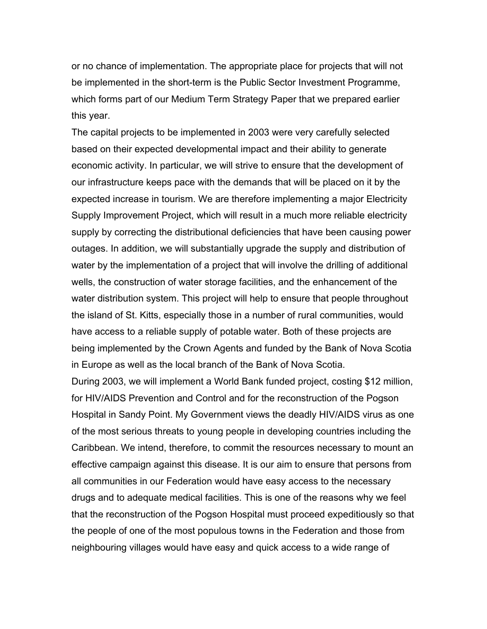or no chance of implementation. The appropriate place for projects that will not be implemented in the short-term is the Public Sector Investment Programme, which forms part of our Medium Term Strategy Paper that we prepared earlier this year.

The capital projects to be implemented in 2003 were very carefully selected based on their expected developmental impact and their ability to generate economic activity. In particular, we will strive to ensure that the development of our infrastructure keeps pace with the demands that will be placed on it by the expected increase in tourism. We are therefore implementing a major Electricity Supply Improvement Project, which will result in a much more reliable electricity supply by correcting the distributional deficiencies that have been causing power outages. In addition, we will substantially upgrade the supply and distribution of water by the implementation of a project that will involve the drilling of additional wells, the construction of water storage facilities, and the enhancement of the water distribution system. This project will help to ensure that people throughout the island of St. Kitts, especially those in a number of rural communities, would have access to a reliable supply of potable water. Both of these projects are being implemented by the Crown Agents and funded by the Bank of Nova Scotia in Europe as well as the local branch of the Bank of Nova Scotia.

During 2003, we will implement a World Bank funded project, costing \$12 million, for HIV/AIDS Prevention and Control and for the reconstruction of the Pogson Hospital in Sandy Point. My Government views the deadly HIV/AIDS virus as one of the most serious threats to young people in developing countries including the Caribbean. We intend, therefore, to commit the resources necessary to mount an effective campaign against this disease. It is our aim to ensure that persons from all communities in our Federation would have easy access to the necessary drugs and to adequate medical facilities. This is one of the reasons why we feel that the reconstruction of the Pogson Hospital must proceed expeditiously so that the people of one of the most populous towns in the Federation and those from neighbouring villages would have easy and quick access to a wide range of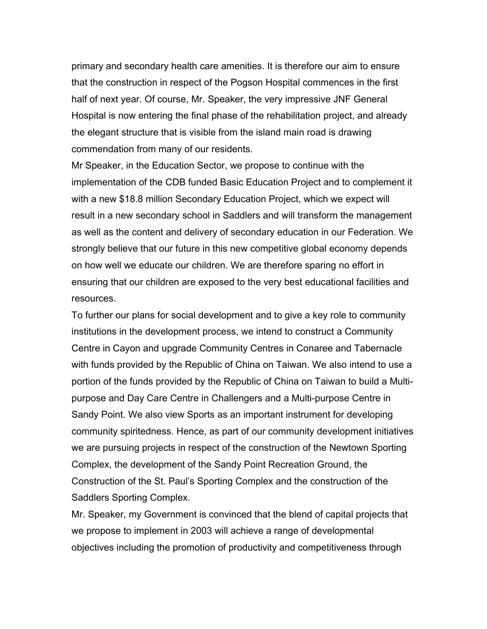primary and secondary health care amenities. It is therefore our aim to ensure that the construction in respect of the Pogson Hospital commences in the first half of next year. Of course, Mr. Speaker, the very impressive JNF General Hospital is now entering the final phase of the rehabilitation project, and already the elegant structure that is visible from the island main road is drawing commendation from many of our residents.

Mr Speaker, in the Education Sector, we propose to continue with the implementation of the CDB funded Basic Education Project and to complement it with a new \$18.8 million Secondary Education Project, which we expect will result in a new secondary school in Saddlers and will transform the management as well as the content and delivery of secondary education in our Federation. We strongly believe that our future in this new competitive global economy depends on how well we educate our children. We are therefore sparing no effort in ensuring that our children are exposed to the very best educational facilities and resources.

To further our plans for social development and to give a key role to community institutions in the development process, we intend to construct a Community Centre in Cayon and upgrade Community Centres in Conaree and Tabernacle with funds provided by the Republic of China on Taiwan. We also intend to use a portion of the funds provided by the Republic of China on Taiwan to build a Multipurpose and Day Care Centre in Challengers and a Multi-purpose Centre in Sandy Point. We also view Sports as an important instrument for developing community spiritedness. Hence, as part of our community development initiatives we are pursuing projects in respect of the construction of the Newtown Sporting Complex, the development of the Sandy Point Recreation Ground, the Construction of the St. Paul's Sporting Complex and the construction of the Saddlers Sporting Complex.

Mr. Speaker, my Government is convinced that the blend of capital projects that we propose to implement in 2003 will achieve a range of developmental objectives including the promotion of productivity and competitiveness through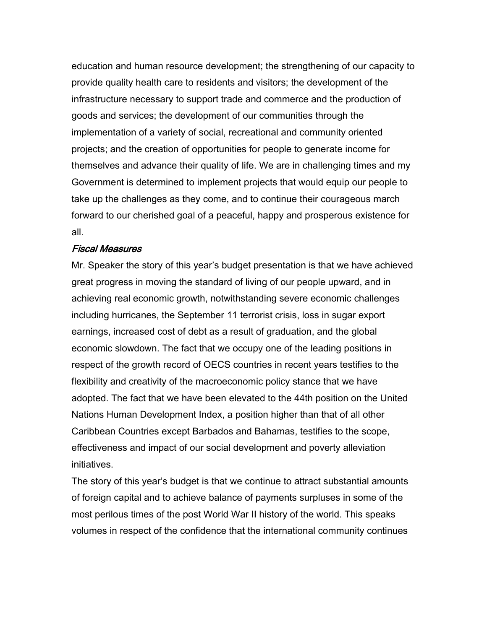education and human resource development; the strengthening of our capacity to provide quality health care to residents and visitors; the development of the infrastructure necessary to support trade and commerce and the production of goods and services; the development of our communities through the implementation of a variety of social, recreational and community oriented projects; and the creation of opportunities for people to generate income for themselves and advance their quality of life. We are in challenging times and my Government is determined to implement projects that would equip our people to take up the challenges as they come, and to continue their courageous march forward to our cherished goal of a peaceful, happy and prosperous existence for all.

# Fiscal Measures

Mr. Speaker the story of this year's budget presentation is that we have achieved great progress in moving the standard of living of our people upward, and in achieving real economic growth, notwithstanding severe economic challenges including hurricanes, the September 11 terrorist crisis, loss in sugar export earnings, increased cost of debt as a result of graduation, and the global economic slowdown. The fact that we occupy one of the leading positions in respect of the growth record of OECS countries in recent years testifies to the flexibility and creativity of the macroeconomic policy stance that we have adopted. The fact that we have been elevated to the 44th position on the United Nations Human Development Index, a position higher than that of all other Caribbean Countries except Barbados and Bahamas, testifies to the scope, effectiveness and impact of our social development and poverty alleviation initiatives.

The story of this year's budget is that we continue to attract substantial amounts of foreign capital and to achieve balance of payments surpluses in some of the most perilous times of the post World War II history of the world. This speaks volumes in respect of the confidence that the international community continues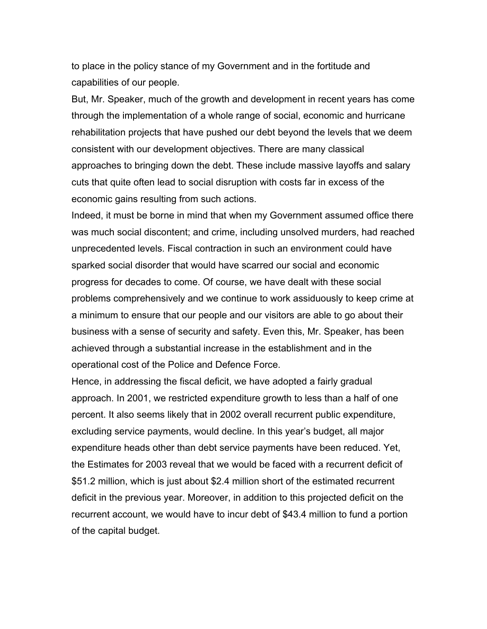to place in the policy stance of my Government and in the fortitude and capabilities of our people.

But, Mr. Speaker, much of the growth and development in recent years has come through the implementation of a whole range of social, economic and hurricane rehabilitation projects that have pushed our debt beyond the levels that we deem consistent with our development objectives. There are many classical approaches to bringing down the debt. These include massive layoffs and salary cuts that quite often lead to social disruption with costs far in excess of the economic gains resulting from such actions.

Indeed, it must be borne in mind that when my Government assumed office there was much social discontent; and crime, including unsolved murders, had reached unprecedented levels. Fiscal contraction in such an environment could have sparked social disorder that would have scarred our social and economic progress for decades to come. Of course, we have dealt with these social problems comprehensively and we continue to work assiduously to keep crime at a minimum to ensure that our people and our visitors are able to go about their business with a sense of security and safety. Even this, Mr. Speaker, has been achieved through a substantial increase in the establishment and in the operational cost of the Police and Defence Force.

Hence, in addressing the fiscal deficit, we have adopted a fairly gradual approach. In 2001, we restricted expenditure growth to less than a half of one percent. It also seems likely that in 2002 overall recurrent public expenditure, excluding service payments, would decline. In this year's budget, all major expenditure heads other than debt service payments have been reduced. Yet, the Estimates for 2003 reveal that we would be faced with a recurrent deficit of \$51.2 million, which is just about \$2.4 million short of the estimated recurrent deficit in the previous year. Moreover, in addition to this projected deficit on the recurrent account, we would have to incur debt of \$43.4 million to fund a portion of the capital budget.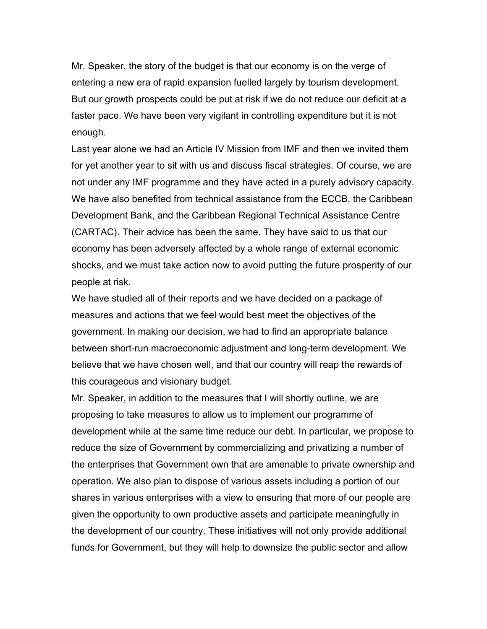Mr. Speaker, the story of the budget is that our economy is on the verge of entering a new era of rapid expansion fuelled largely by tourism development. But our growth prospects could be put at risk if we do not reduce our deficit at a faster pace. We have been very vigilant in controlling expenditure but it is not enough.

Last year alone we had an Article IV Mission from IMF and then we invited them for yet another year to sit with us and discuss fiscal strategies. Of course, we are not under any IMF programme and they have acted in a purely advisory capacity. We have also benefited from technical assistance from the ECCB, the Caribbean Development Bank, and the Caribbean Regional Technical Assistance Centre (CARTAC). Their advice has been the same. They have said to us that our economy has been adversely affected by a whole range of external economic shocks, and we must take action now to avoid putting the future prosperity of our people at risk.

We have studied all of their reports and we have decided on a package of measures and actions that we feel would best meet the objectives of the government. In making our decision, we had to find an appropriate balance between short-run macroeconomic adjustment and long-term development. We believe that we have chosen well, and that our country will reap the rewards of this courageous and visionary budget.

Mr. Speaker, in addition to the measures that I will shortly outline, we are proposing to take measures to allow us to implement our programme of development while at the same time reduce our debt. In particular, we propose to reduce the size of Government by commercializing and privatizing a number of the enterprises that Government own that are amenable to private ownership and operation. We also plan to dispose of various assets including a portion of our shares in various enterprises with a view to ensuring that more of our people are given the opportunity to own productive assets and participate meaningfully in the development of our country. These initiatives will not only provide additional funds for Government, but they will help to downsize the public sector and allow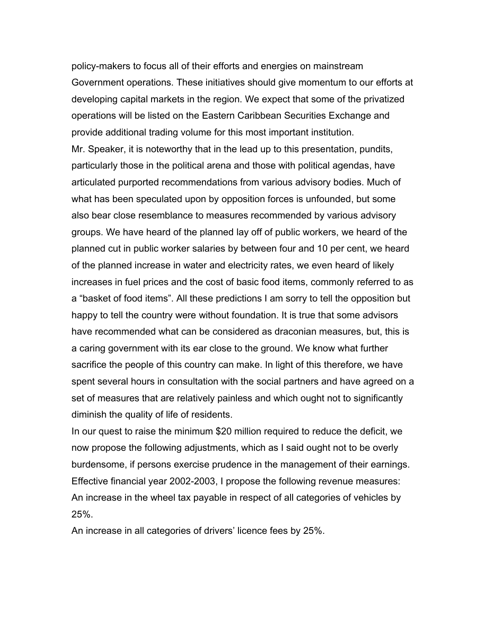policy-makers to focus all of their efforts and energies on mainstream Government operations. These initiatives should give momentum to our efforts at developing capital markets in the region. We expect that some of the privatized operations will be listed on the Eastern Caribbean Securities Exchange and provide additional trading volume for this most important institution. Mr. Speaker, it is noteworthy that in the lead up to this presentation, pundits, particularly those in the political arena and those with political agendas, have articulated purported recommendations from various advisory bodies. Much of what has been speculated upon by opposition forces is unfounded, but some also bear close resemblance to measures recommended by various advisory groups. We have heard of the planned lay off of public workers, we heard of the planned cut in public worker salaries by between four and 10 per cent, we heard of the planned increase in water and electricity rates, we even heard of likely increases in fuel prices and the cost of basic food items, commonly referred to as a "basket of food items". All these predictions I am sorry to tell the opposition but happy to tell the country were without foundation. It is true that some advisors have recommended what can be considered as draconian measures, but, this is a caring government with its ear close to the ground. We know what further sacrifice the people of this country can make. In light of this therefore, we have spent several hours in consultation with the social partners and have agreed on a set of measures that are relatively painless and which ought not to significantly diminish the quality of life of residents.

In our quest to raise the minimum \$20 million required to reduce the deficit, we now propose the following adjustments, which as I said ought not to be overly burdensome, if persons exercise prudence in the management of their earnings. Effective financial year 2002-2003, I propose the following revenue measures: An increase in the wheel tax payable in respect of all categories of vehicles by 25%.

An increase in all categories of drivers' licence fees by 25%.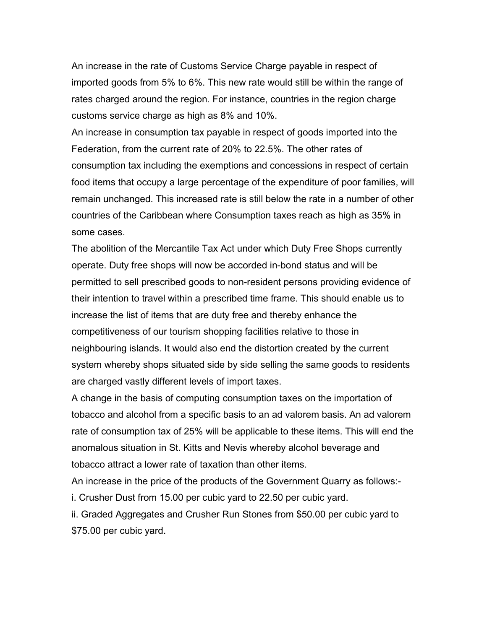An increase in the rate of Customs Service Charge payable in respect of imported goods from 5% to 6%. This new rate would still be within the range of rates charged around the region. For instance, countries in the region charge customs service charge as high as 8% and 10%.

An increase in consumption tax payable in respect of goods imported into the Federation, from the current rate of 20% to 22.5%. The other rates of consumption tax including the exemptions and concessions in respect of certain food items that occupy a large percentage of the expenditure of poor families, will remain unchanged. This increased rate is still below the rate in a number of other countries of the Caribbean where Consumption taxes reach as high as 35% in some cases.

The abolition of the Mercantile Tax Act under which Duty Free Shops currently operate. Duty free shops will now be accorded in-bond status and will be permitted to sell prescribed goods to non-resident persons providing evidence of their intention to travel within a prescribed time frame. This should enable us to increase the list of items that are duty free and thereby enhance the competitiveness of our tourism shopping facilities relative to those in neighbouring islands. It would also end the distortion created by the current system whereby shops situated side by side selling the same goods to residents are charged vastly different levels of import taxes.

A change in the basis of computing consumption taxes on the importation of tobacco and alcohol from a specific basis to an ad valorem basis. An ad valorem rate of consumption tax of 25% will be applicable to these items. This will end the anomalous situation in St. Kitts and Nevis whereby alcohol beverage and tobacco attract a lower rate of taxation than other items.

An increase in the price of the products of the Government Quarry as follows: i. Crusher Dust from 15.00 per cubic yard to 22.50 per cubic yard.

ii. Graded Aggregates and Crusher Run Stones from \$50.00 per cubic yard to \$75.00 per cubic yard.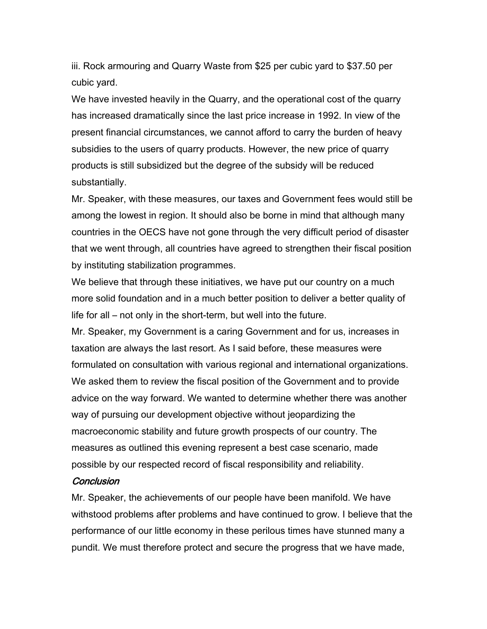iii. Rock armouring and Quarry Waste from \$25 per cubic yard to \$37.50 per cubic yard.

We have invested heavily in the Quarry, and the operational cost of the quarry has increased dramatically since the last price increase in 1992. In view of the present financial circumstances, we cannot afford to carry the burden of heavy subsidies to the users of quarry products. However, the new price of quarry products is still subsidized but the degree of the subsidy will be reduced substantially.

Mr. Speaker, with these measures, our taxes and Government fees would still be among the lowest in region. It should also be borne in mind that although many countries in the OECS have not gone through the very difficult period of disaster that we went through, all countries have agreed to strengthen their fiscal position by instituting stabilization programmes.

We believe that through these initiatives, we have put our country on a much more solid foundation and in a much better position to deliver a better quality of life for all – not only in the short-term, but well into the future.

Mr. Speaker, my Government is a caring Government and for us, increases in taxation are always the last resort. As I said before, these measures were formulated on consultation with various regional and international organizations. We asked them to review the fiscal position of the Government and to provide advice on the way forward. We wanted to determine whether there was another way of pursuing our development objective without jeopardizing the macroeconomic stability and future growth prospects of our country. The measures as outlined this evening represent a best case scenario, made possible by our respected record of fiscal responsibility and reliability.

## **Conclusion**

Mr. Speaker, the achievements of our people have been manifold. We have withstood problems after problems and have continued to grow. I believe that the performance of our little economy in these perilous times have stunned many a pundit. We must therefore protect and secure the progress that we have made,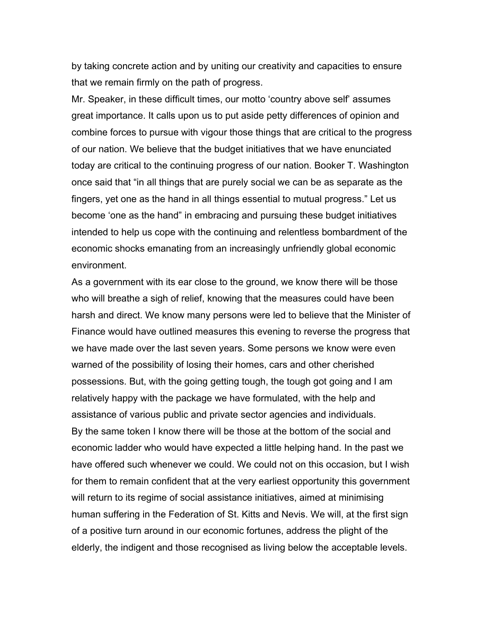by taking concrete action and by uniting our creativity and capacities to ensure that we remain firmly on the path of progress.

Mr. Speaker, in these difficult times, our motto 'country above self' assumes great importance. It calls upon us to put aside petty differences of opinion and combine forces to pursue with vigour those things that are critical to the progress of our nation. We believe that the budget initiatives that we have enunciated today are critical to the continuing progress of our nation. Booker T. Washington once said that "in all things that are purely social we can be as separate as the fingers, yet one as the hand in all things essential to mutual progress." Let us become 'one as the hand" in embracing and pursuing these budget initiatives intended to help us cope with the continuing and relentless bombardment of the economic shocks emanating from an increasingly unfriendly global economic environment.

As a government with its ear close to the ground, we know there will be those who will breathe a sigh of relief, knowing that the measures could have been harsh and direct. We know many persons were led to believe that the Minister of Finance would have outlined measures this evening to reverse the progress that we have made over the last seven years. Some persons we know were even warned of the possibility of losing their homes, cars and other cherished possessions. But, with the going getting tough, the tough got going and I am relatively happy with the package we have formulated, with the help and assistance of various public and private sector agencies and individuals. By the same token I know there will be those at the bottom of the social and economic ladder who would have expected a little helping hand. In the past we have offered such whenever we could. We could not on this occasion, but I wish for them to remain confident that at the very earliest opportunity this government will return to its regime of social assistance initiatives, aimed at minimising human suffering in the Federation of St. Kitts and Nevis. We will, at the first sign of a positive turn around in our economic fortunes, address the plight of the elderly, the indigent and those recognised as living below the acceptable levels.